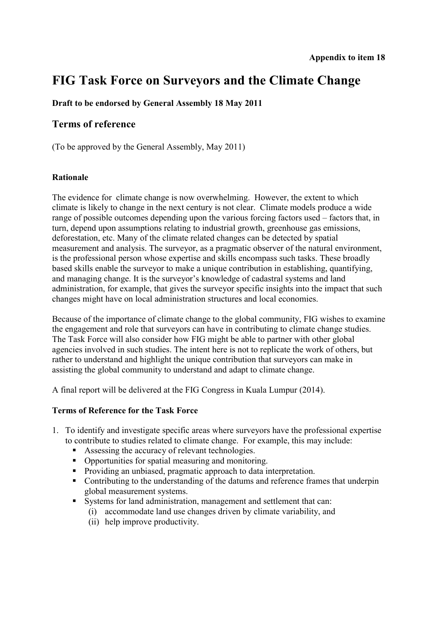# **FIG Task Force on Surveyors and the Climate Change**

# **Draft to be endorsed by General Assembly 18 May 2011**

# **Terms of reference**

(To be approved by the General Assembly, May 2011)

### **Rationale**

The evidence for climate change is now overwhelming. However, the extent to which climate is likely to change in the next century is not clear. Climate models produce a wide range of possible outcomes depending upon the various forcing factors used – factors that, in turn, depend upon assumptions relating to industrial growth, greenhouse gas emissions, deforestation, etc. Many of the climate related changes can be detected by spatial measurement and analysis. The surveyor, as a pragmatic observer of the natural environment, is the professional person whose expertise and skills encompass such tasks. These broadly based skills enable the surveyor to make a unique contribution in establishing, quantifying, and managing change. It is the surveyor's knowledge of cadastral systems and land administration, for example, that gives the surveyor specific insights into the impact that such changes might have on local administration structures and local economies.

Because of the importance of climate change to the global community, FIG wishes to examine the engagement and role that surveyors can have in contributing to climate change studies. The Task Force will also consider how FIG might be able to partner with other global agencies involved in such studies. The intent here is not to replicate the work of others, but rather to understand and highlight the unique contribution that surveyors can make in assisting the global community to understand and adapt to climate change.

A final report will be delivered at the FIG Congress in Kuala Lumpur (2014).

# **Terms of Reference for the Task Force**

- 1. To identify and investigate specific areas where surveyors have the professional expertise to contribute to studies related to climate change. For example, this may include:
	- Assessing the accuracy of relevant technologies.
	- Opportunities for spatial measuring and monitoring.
	- Providing an unbiased, pragmatic approach to data interpretation.
	- Contributing to the understanding of the datums and reference frames that underpin global measurement systems.
	- Systems for land administration, management and settlement that can:
		- (i) accommodate land use changes driven by climate variability, and
		- (ii) help improve productivity.